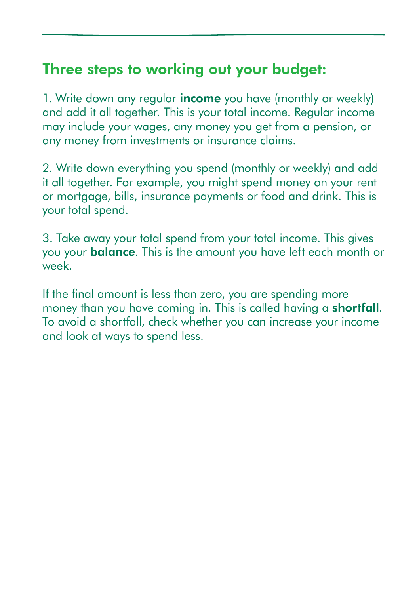#### Three steps to working out your budget:

1. Write down any regular **income** you have (monthly or weekly) and add it all together. This is your total income. Regular income may include your wages, any money you get from a pension, or any money from investments or insurance claims.

2. Write down everything you spend (monthly or weekly) and add it all together. For example, you might spend money on your rent or mortgage, bills, insurance payments or food and drink. This is your total spend.

3. Take away your total spend from your total income. This gives you your **balance**. This is the amount you have left each month or week.

If the final amount is less than zero, you are spending more money than you have coming in. This is called having a **shortfall**. To avoid a shortfall, check whether you can increase your income and look at ways to spend less.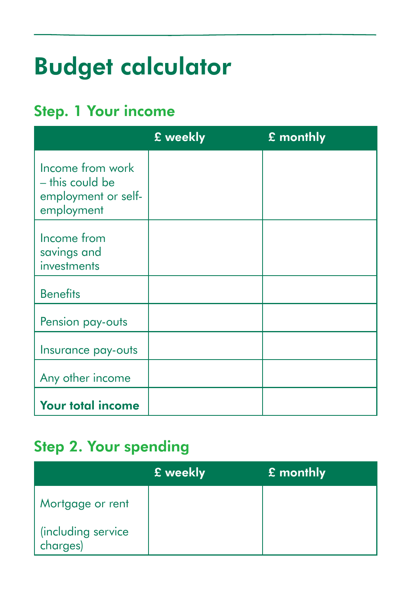# Budget calculator

## Step. 1 Your income

|                                                                          | £ weekly | £ monthly |
|--------------------------------------------------------------------------|----------|-----------|
| Income from work<br>- this could be<br>employment or self-<br>employment |          |           |
| Income from<br>savings and<br>investments                                |          |           |
| <b>Benefits</b>                                                          |          |           |
| Pension pay-outs                                                         |          |           |
| Insurance pay-outs                                                       |          |           |
| Any other income                                                         |          |           |
| <b>Your total income</b>                                                 |          |           |

## Step 2. Your spending

|                                | E weekly | $\mathbf E$ monthly |
|--------------------------------|----------|---------------------|
| Mortgage or rent               |          |                     |
| (including service<br>charges) |          |                     |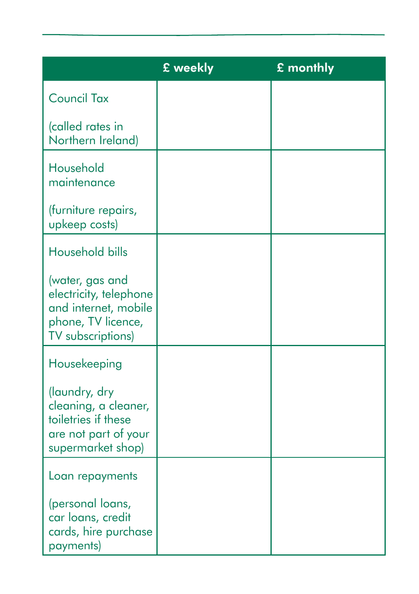|                                                                                                              | £ weekly | £ monthly |
|--------------------------------------------------------------------------------------------------------------|----------|-----------|
| <b>Council Tax</b>                                                                                           |          |           |
| (called rates in<br>Northern Ireland)                                                                        |          |           |
| Household<br>maintenance                                                                                     |          |           |
| (furniture repairs,<br>upkeep costs)                                                                         |          |           |
| Household bills                                                                                              |          |           |
| (water, gas and<br>electricity, telephone<br>and internet, mobile<br>phone, TV licence,<br>TV subscriptions) |          |           |
| Housekeeping                                                                                                 |          |           |
| (laundry, dry<br>cleaning, a cleaner,<br>toiletries if these<br>are not part of your<br>supermarket shop)    |          |           |
| Loan repayments                                                                                              |          |           |
| (personal loans,<br>car loans, credit<br>cards, hire purchase<br>payments)                                   |          |           |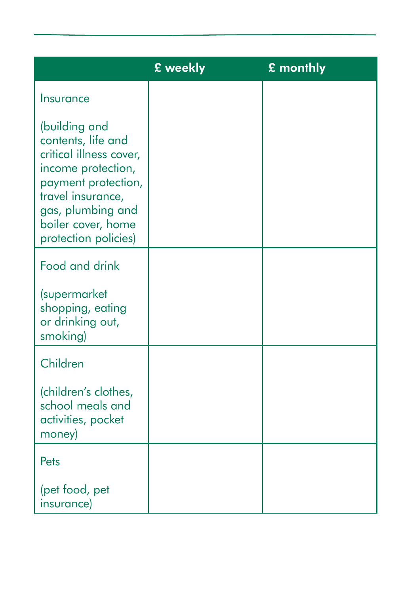|                                                                                                                                                                                                     | £ weekly | £ monthly |
|-----------------------------------------------------------------------------------------------------------------------------------------------------------------------------------------------------|----------|-----------|
| Insurance                                                                                                                                                                                           |          |           |
| (building and<br>contents, life and<br>critical illness cover,<br>income protection,<br>payment protection,<br>travel insurance,<br>gas, plumbing and<br>boiler cover, home<br>protection policies) |          |           |
| Food and drink                                                                                                                                                                                      |          |           |
| <i>supermarket</i><br>shopping, eating<br>or drinking out,<br>smoking)                                                                                                                              |          |           |
| Children                                                                                                                                                                                            |          |           |
| (children's clothes,<br>school meals and<br>activities, pocket<br>money)                                                                                                                            |          |           |
| Pets                                                                                                                                                                                                |          |           |
| (pet food, pet<br>insurance)                                                                                                                                                                        |          |           |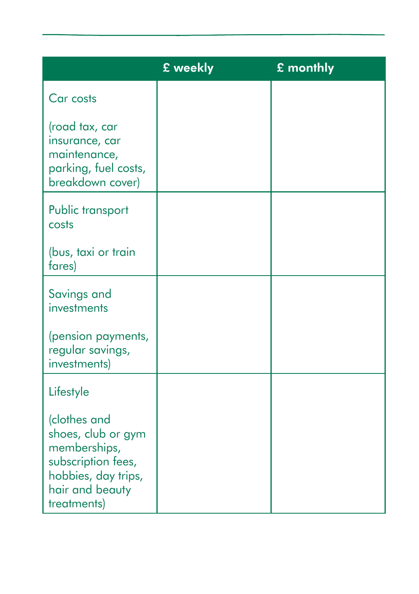|                                                                                                                                   | £ weekly | £ monthly |
|-----------------------------------------------------------------------------------------------------------------------------------|----------|-----------|
| Car costs                                                                                                                         |          |           |
| (road tax, car<br>insurance, car<br>maintenance,<br>parking, fuel costs,<br>breakdown cover)                                      |          |           |
| Public transport<br>costs                                                                                                         |          |           |
| (bus, taxi or train<br>fares)                                                                                                     |          |           |
| Savings and<br>investments                                                                                                        |          |           |
| (pension payments,<br>regular savings,<br>investments)                                                                            |          |           |
| Lifestyle                                                                                                                         |          |           |
| (clothes and<br>shoes, club or gym<br>memberships,<br>subscription fees,<br>hobbies, day trips,<br>hair and beauty<br>treatments) |          |           |